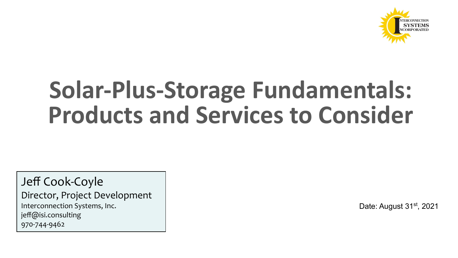

# **Solar-Plus-Storage Fundamentals: Products and Services to Consider**

Jeff Cook-Coyle Director, Project Development Interconnection Systems, Inc. jeff@isi.consulting 970-744-9462

Date: August 31<sup>st</sup>, 2021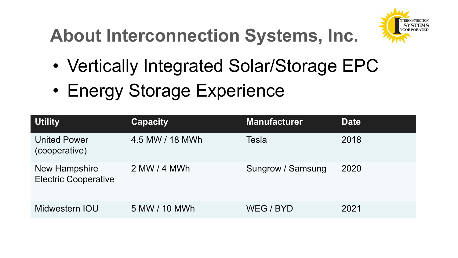### **About Interconnection Systems, Inc.**



- Vertically Integrated Solar/Storage EPC
- Energy Storage Experience

| <b>Utility</b>                               | <b>Capacity</b> | <b>Manufacturer</b> | <b>Date</b> |
|----------------------------------------------|-----------------|---------------------|-------------|
| <b>United Power</b><br>(cooperative)         | 4.5 MW / 18 MWh | Tesla               | 2018        |
| New Hampshire<br><b>Electric Cooperative</b> | 2 MW / 4 MWh    | Sungrow / Samsung   | 2020        |
| Midwestern IOU                               | 5 MW / 10 MWh   | WEG / BYD           | 2021        |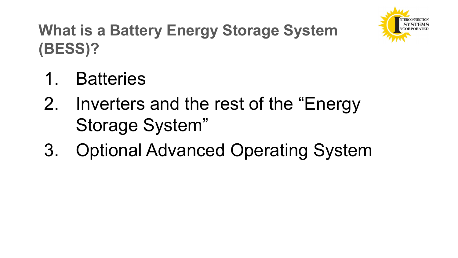

#### **What is a Battery Energy Storage System (BESS)?**

- 1. Batteries
- 2. Inverters and the rest of the "Energy Storage System"
- 3. Optional Advanced Operating System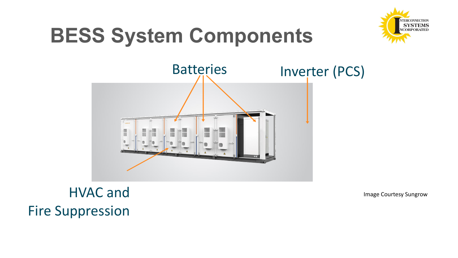## **BESS System Components**





#### HVAC and Fire Suppression

Image Courtesy Sungrow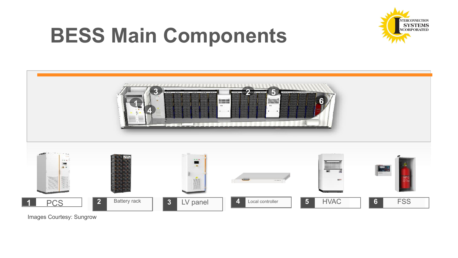### **BESS Main Components**



| STATISTICS OF THE CONTRACTORS OF THE CONTRACTORS<br>B<br>l۳<br>$-777 - 777 - 777 - 777$<br><b>BOX 000 000 000 000 000 000</b><br>74<br>inumuli<br><b>HEIE</b><br>$\sim$<br>m.<br>$\blacksquare$<br><b>ARTICLE IN THE EXI</b><br>可证 服装 |                                |                                                                                                                                                            |                                    |                                            |                 |  |
|---------------------------------------------------------------------------------------------------------------------------------------------------------------------------------------------------------------------------------------|--------------------------------|------------------------------------------------------------------------------------------------------------------------------------------------------------|------------------------------------|--------------------------------------------|-----------------|--|
| massacre non<br><b>SAN</b><br>$-1.1 - 1.$<br>F.<br>Ē.                                                                                                                                                                                 |                                | $\mathcal{L}_{\mathcal{A}}\left( \mathcal{A},\mathcal{B}\right) =\mathcal{A}_{\mathcal{A}}\left( \mathcal{A},\mathcal{B}\right)$<br>$\bullet$<br>ಿ<br>EST. | <b>TELEP</b><br>consider.          | <b>Bunuary</b><br>-------<br>1911<br>$E =$ | E               |  |
| <b>PCS</b>                                                                                                                                                                                                                            | Battery rack<br>2 <sup>1</sup> | $\overline{\mathbf{3}}$<br>LV panel                                                                                                                        | $\overline{4}$<br>Local controller | 5 <sup>1</sup><br><b>HVAC</b>              | <b>FSS</b><br>6 |  |

Images Courtesy: Sungrow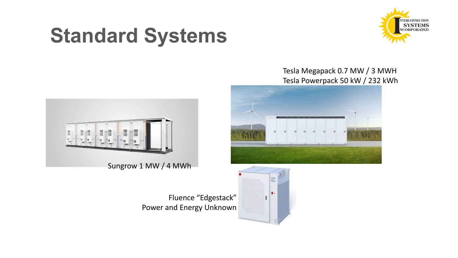### **Standard Systems**



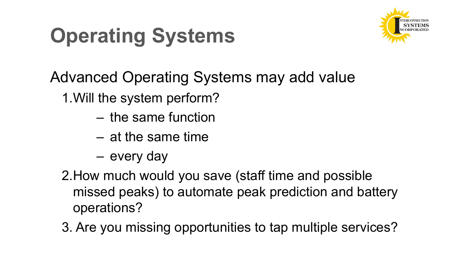# **Operating Systems**



Advanced Operating Systems may add value

1.Will the system perform?

- the same function
- at the same time
- every day
- 2.How much would you save (staff time and possible missed peaks) to automate peak prediction and battery operations?
- 3. Are you missing opportunities to tap multiple services?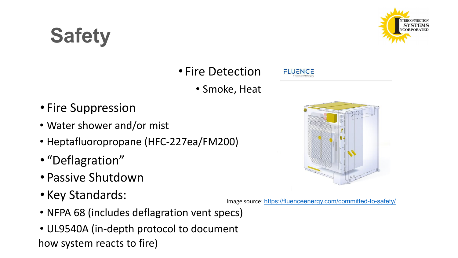# **Safety**



#### • Fire Detection

• Smoke, Heat

- Fire Suppression
- Water shower and/or mist
- Heptafluoropropane (HFC-227ea/FM200)
- "Deflagration"
- Passive Shutdown
- Key Standards:
- NFPA 68 (includes deflagration vent specs)
- UL9540A (in-depth protocol to document how system reacts to fire)

**FLUENCE** 



Image source: <https://fluenceenergy.com/committed-to-safety/>